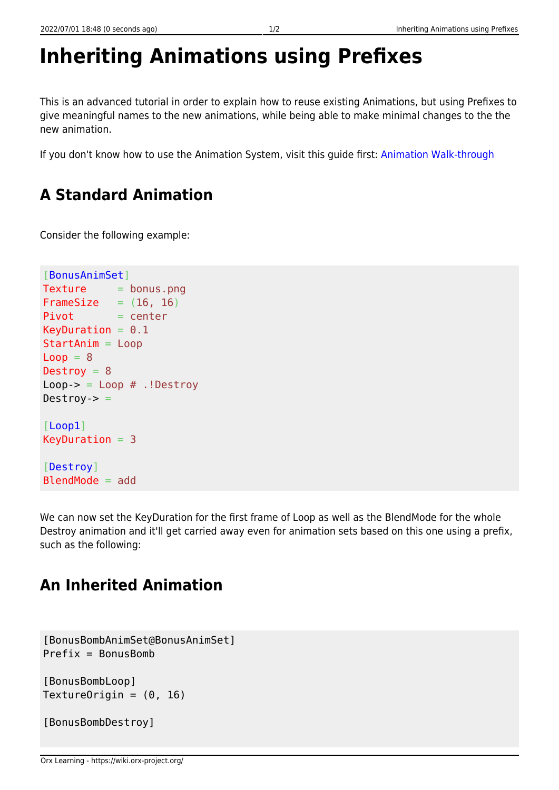## **Inheriting Animations using Prefixes**

This is an advanced tutorial in order to explain how to reuse existing Animations, but using Prefixes to give meaningful names to the new animations, while being able to make minimal changes to the the new animation.

If you don't know how to use the Animation System, visit this guide first: [Animation Walk-through](https://wiki.orx-project.org/en/tutorials/animation/animation_walkthrough)

## **A Standard Animation**

Consider the following example:

```
[BonusAnimSet]
Texture = bonus.png
FrameSize = (16, 16)Pivot = centerKeyDuration = 0.1StartAnim = Loop
Loop = 8Destroy = 8Loop -> = Loop #. !Destroy
Destroy-> =[Loop1]
KeyDuration = 3[Destroy]
BlendMode = add
```
We can now set the KeyDuration for the first frame of Loop as well as the BlendMode for the whole Destroy animation and it'll get carried away even for animation sets based on this one using a prefix, such as the following:

## **An Inherited Animation**

```
[BonusBombAnimSet@BonusAnimSet]
Prefix = RonusRom[BonusBombLoop]
TextureOrigin = (0, 16)[BonusBombDestroy]
```